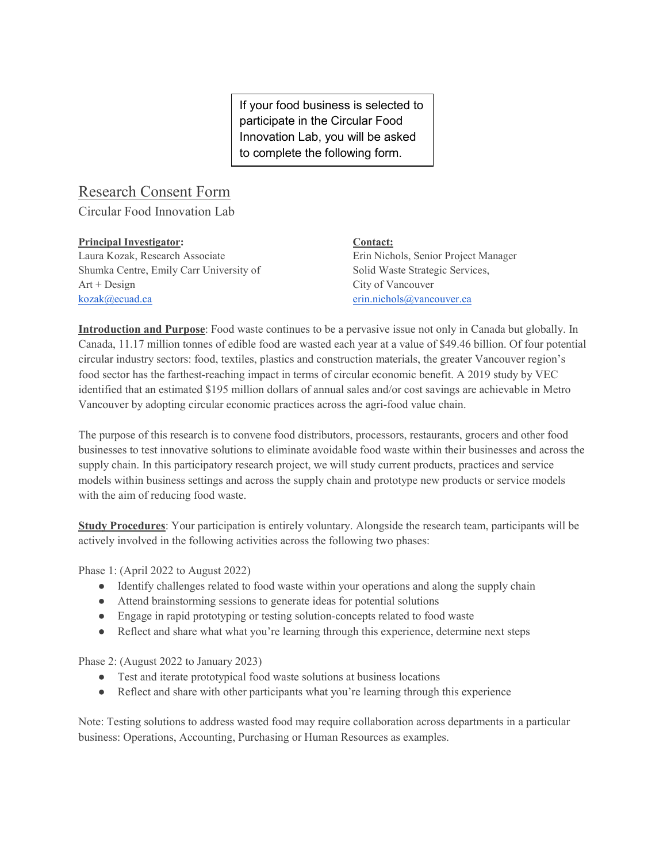If your food business is selected to participate in the Circular Food Innovation Lab, you will be asked to complete the following form.

## Research Consent Form

Circular Food Innovation Lab

| <b>Principal Investigator:</b>          | Contact:                             |
|-----------------------------------------|--------------------------------------|
| Laura Kozak, Research Associate         | Erin Nichols, Senior Project Manager |
| Shumka Centre, Emily Carr University of | Solid Waste Strategic Services,      |
| $Art + Design$                          | City of Vancouver                    |
| $kozak$ ( <i>a</i> ) ecuad.ca           | erin.nichols@vancouver.ca            |

**Introduction and Purpose**: Food waste continues to be a pervasive issue not only in Canada but globally. In Canada, 11.17 million tonnes of edible food are wasted each year at a value of \$49.46 billion. Of four potential circular industry sectors: food, textiles, plastics and construction materials, the greater Vancouver region's food sector has the farthest-reaching impact in terms of circular economic benefit. A 2019 study by VEC identified that an estimated \$195 million dollars of annual sales and/or cost savings are achievable in Metro Vancouver by adopting circular economic practices across the agri-food value chain.

The purpose of this research is to convene food distributors, processors, restaurants, grocers and other food businesses to test innovative solutions to eliminate avoidable food waste within their businesses and across the supply chain. In this participatory research project, we will study current products, practices and service models within business settings and across the supply chain and prototype new products or service models with the aim of reducing food waste.

**Study Procedures**: Your participation is entirely voluntary. Alongside the research team, participants will be actively involved in the following activities across the following two phases:

Phase 1: (April 2022 to August 2022)

- Identify challenges related to food waste within your operations and along the supply chain
- Attend brainstorming sessions to generate ideas for potential solutions
- Engage in rapid prototyping or testing solution-concepts related to food waste
- Reflect and share what what you're learning through this experience, determine next steps

Phase 2: (August 2022 to January 2023)

- Test and iterate prototypical food waste solutions at business locations
- Reflect and share with other participants what you're learning through this experience

Note: Testing solutions to address wasted food may require collaboration across departments in a particular business: Operations, Accounting, Purchasing or Human Resources as examples.